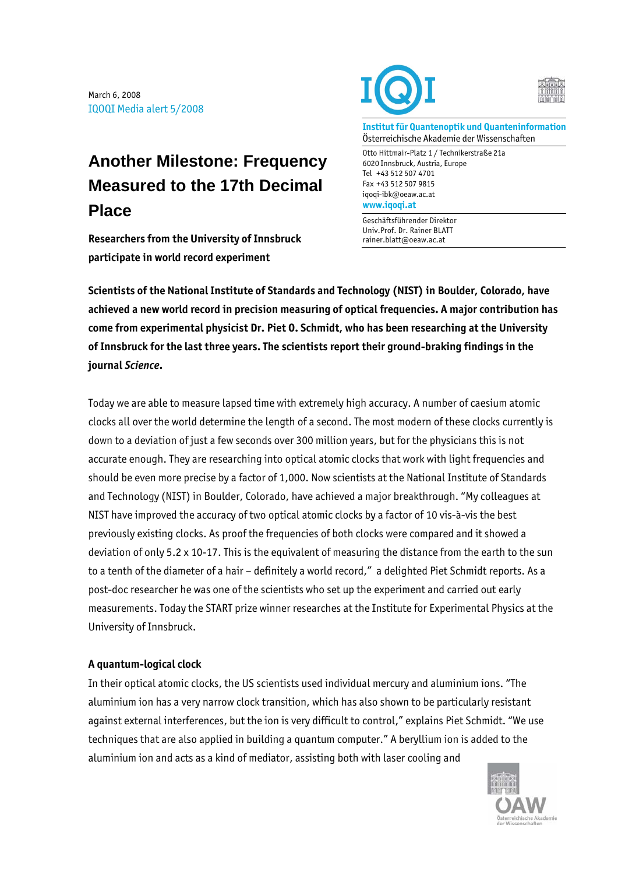March 6, 2008 IQOQI Media alert 5/2008

## **Another Milestone: Frequency Measured to the 17th Decimal Place**

**Researchers from the University of Innsbruck participate in world record experiment** 





**Institut für Quantenoptik und Quanteninformation**  Österreichische Akademie der Wissenschaften

Otto Hittmair-Platz 1 / Technikerstraße 21a 6020 Innsbruck, Austria, Europe Tel +43 512 507 4701 Fax +43 512 507 9815 iqoqi-ibk@oeaw.ac.at **www.iqoqi.at** 

Geschäftsführender Direktor Univ.Prof. Dr. Rainer BLATT rainer.blatt@oeaw.ac.at

**Scientists of the National Institute of Standards and Technology (NIST) in Boulder, Colorado, have achieved a new world record in precision measuring of optical frequencies. A major contribution has come from experimental physicist Dr. Piet O. Schmidt, who has been researching at the University of Innsbruck for the last three years. The scientists report their ground-braking findings in the journal** *Science***.** 

Today we are able to measure lapsed time with extremely high accuracy. A number of caesium atomic clocks all over the world determine the length of a second. The most modern of these clocks currently is down to a deviation of just a few seconds over 300 million years, but for the physicians this is not accurate enough. They are researching into optical atomic clocks that work with light frequencies and should be even more precise by a factor of 1,000. Now scientists at the National Institute of Standards and Technology (NIST) in Boulder, Colorado, have achieved a major breakthrough. "My colleagues at NIST have improved the accuracy of two optical atomic clocks by a factor of 10 vis-à-vis the best previously existing clocks. As proof the frequencies of both clocks were compared and it showed a deviation of only 5.2 x 10-17. This is the equivalent of measuring the distance from the earth to the sun to a tenth of the diameter of a hair – definitely a world record," a delighted Piet Schmidt reports. As a post-doc researcher he was one of the scientists who set up the experiment and carried out early measurements. Today the START prize winner researches at the Institute for Experimental Physics at the University of Innsbruck.

## **A quantum-logical clock**

In their optical atomic clocks, the US scientists used individual mercury and aluminium ions. "The aluminium ion has a very narrow clock transition, which has also shown to be particularly resistant against external interferences, but the ion is very difficult to control," explains Piet Schmidt. "We use techniques that are also applied in building a quantum computer." A beryllium ion is added to the aluminium ion and acts as a kind of mediator, assisting both with laser cooling and

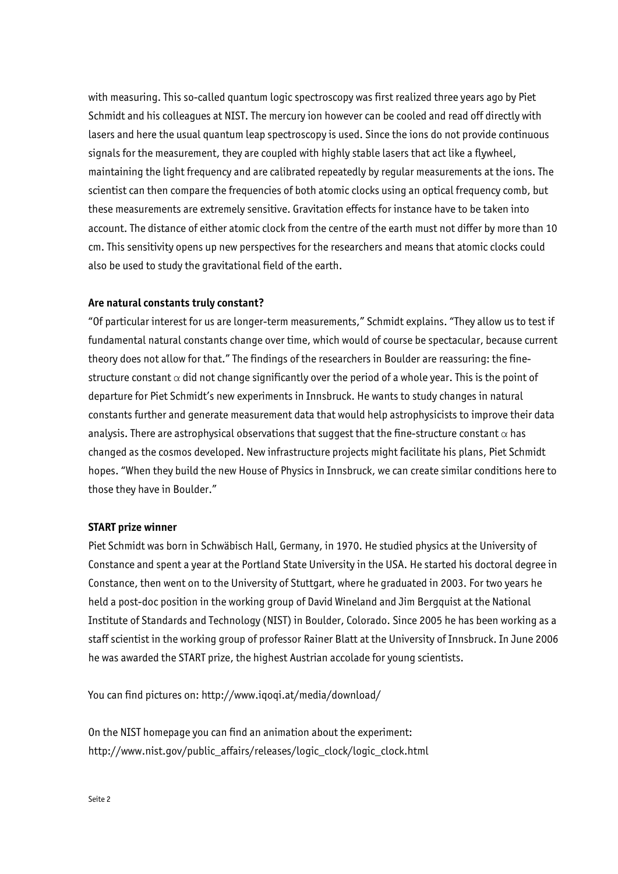with measuring. This so-called quantum logic spectroscopy was first realized three years ago by Piet Schmidt and his colleagues at NIST. The mercury ion however can be cooled and read off directly with lasers and here the usual quantum leap spectroscopy is used. Since the ions do not provide continuous signals for the measurement, they are coupled with highly stable lasers that act like a flywheel, maintaining the light frequency and are calibrated repeatedly by regular measurements at the ions. The scientist can then compare the frequencies of both atomic clocks using an optical frequency comb, but these measurements are extremely sensitive. Gravitation effects for instance have to be taken into account. The distance of either atomic clock from the centre of the earth must not differ by more than 10 cm. This sensitivity opens up new perspectives for the researchers and means that atomic clocks could also be used to study the gravitational field of the earth.

## **Are natural constants truly constant?**

"Of particular interest for us are longer-term measurements," Schmidt explains. "They allow us to test if fundamental natural constants change over time, which would of course be spectacular, because current theory does not allow for that." The findings of the researchers in Boulder are reassuring: the finestructure constant  $\alpha$  did not change significantly over the period of a whole year. This is the point of departure for Piet Schmidt's new experiments in Innsbruck. He wants to study changes in natural constants further and generate measurement data that would help astrophysicists to improve their data analysis. There are astrophysical observations that suggest that the fine-structure constant  $\alpha$  has changed as the cosmos developed. New infrastructure projects might facilitate his plans, Piet Schmidt hopes. "When they build the new House of Physics in Innsbruck, we can create similar conditions here to those they have in Boulder."

## **START prize winner**

Piet Schmidt was born in Schwäbisch Hall, Germany, in 1970. He studied physics at the University of Constance and spent a year at the Portland State University in the USA. He started his doctoral degree in Constance, then went on to the University of Stuttgart, where he graduated in 2003. For two years he held a post-doc position in the working group of David Wineland and Jim Bergquist at the National Institute of Standards and Technology (NIST) in Boulder, Colorado. Since 2005 he has been working as a staff scientist in the working group of professor Rainer Blatt at the University of Innsbruck. In June 2006 he was awarded the START prize, the highest Austrian accolade for young scientists.

You can find pictures on: http://www.iqoqi.at/media/download/

On the NIST homepage you can find an animation about the experiment: http://www.nist.gov/public\_affairs/releases/logic\_clock/logic\_clock.html